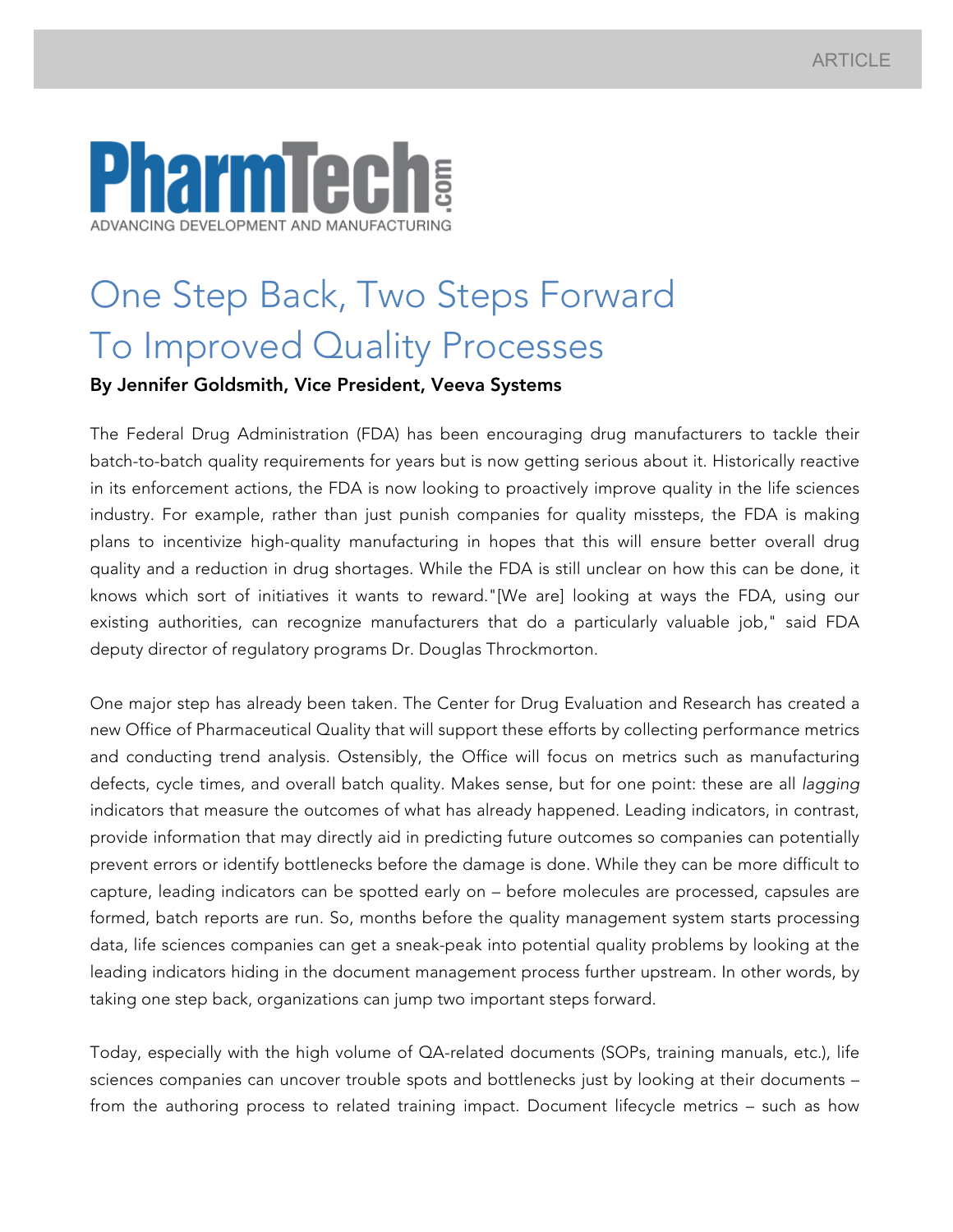## **armTech INCING DEVELOPMENT AND MANUFACTURING**

## One Step Back, Two Steps Forward To Improved Quality Processes

## By Jennifer Goldsmith, Vice President, Veeva Systems

The Federal Drug Administration (FDA) has been encouraging drug manufacturers to tackle their batch-to-batch quality requirements for years but is now getting serious about it. Historically reactive in its enforcement actions, the FDA is now looking to proactively improve quality in the life sciences industry. For example, rather than just punish companies for quality missteps, the FDA is making plans to incentivize high-quality manufacturing in hopes that this will ensure better overall drug quality and a reduction in drug shortages. While the FDA is still unclear on how this can be done, it knows which sort of initiatives it wants to reward."[We are] looking at ways the FDA, using our existing authorities, can recognize manufacturers that do a particularly valuable job," said FDA deputy director of regulatory programs Dr. Douglas Throckmorton.

One major step has already been taken. The Center for Drug Evaluation and Research has created a new Office of Pharmaceutical Quality that will support these efforts by collecting performance metrics and conducting trend analysis. Ostensibly, the Office will focus on metrics such as manufacturing defects, cycle times, and overall batch quality. Makes sense, but for one point: these are all *lagging* indicators that measure the outcomes of what has already happened. Leading indicators, in contrast, provide information that may directly aid in predicting future outcomes so companies can potentially prevent errors or identify bottlenecks before the damage is done. While they can be more difficult to capture, leading indicators can be spotted early on – before molecules are processed, capsules are formed, batch reports are run. So, months before the quality management system starts processing data, life sciences companies can get a sneak-peak into potential quality problems by looking at the leading indicators hiding in the document management process further upstream. In other words, by taking one step back, organizations can jump two important steps forward.

Today, especially with the high volume of QA-related documents (SOPs, training manuals, etc.), life sciences companies can uncover trouble spots and bottlenecks just by looking at their documents – from the authoring process to related training impact. Document lifecycle metrics – such as how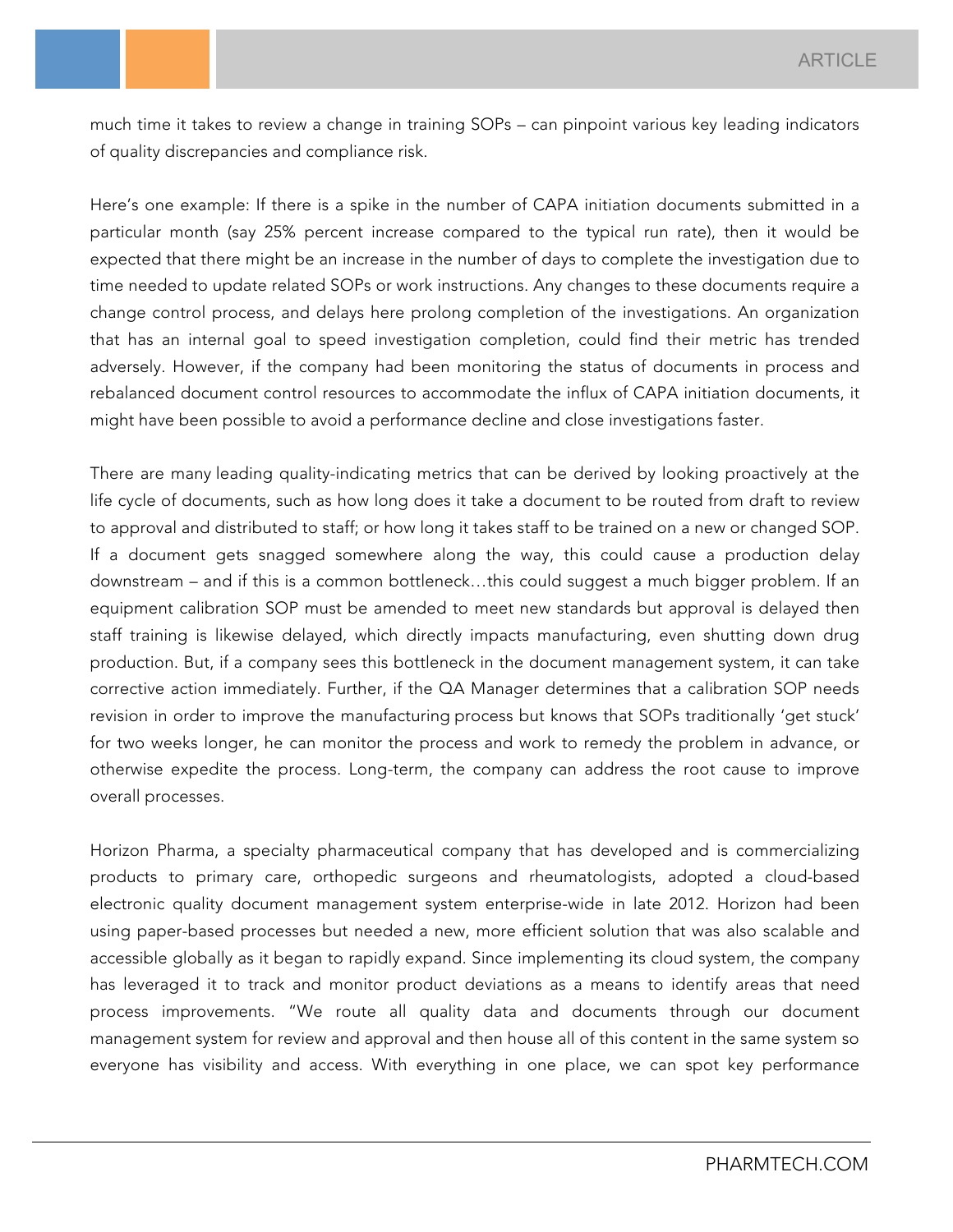much time it takes to review a change in training SOPs – can pinpoint various key leading indicators of quality discrepancies and compliance risk.

Here's one example: If there is a spike in the number of CAPA initiation documents submitted in a particular month (say 25% percent increase compared to the typical run rate), then it would be expected that there might be an increase in the number of days to complete the investigation due to time needed to update related SOPs or work instructions. Any changes to these documents require a change control process, and delays here prolong completion of the investigations. An organization that has an internal goal to speed investigation completion, could find their metric has trended adversely. However, if the company had been monitoring the status of documents in process and rebalanced document control resources to accommodate the influx of CAPA initiation documents, it might have been possible to avoid a performance decline and close investigations faster.

There are many leading quality-indicating metrics that can be derived by looking proactively at the life cycle of documents, such as how long does it take a document to be routed from draft to review to approval and distributed to staff; or how long it takes staff to be trained on a new or changed SOP. If a document gets snagged somewhere along the way, this could cause a production delay downstream – and if this is a common bottleneck…this could suggest a much bigger problem. If an equipment calibration SOP must be amended to meet new standards but approval is delayed then staff training is likewise delayed, which directly impacts manufacturing, even shutting down drug production. But, if a company sees this bottleneck in the document management system, it can take corrective action immediately. Further, if the QA Manager determines that a calibration SOP needs revision in order to improve the manufacturing process but knows that SOPs traditionally 'get stuck' for two weeks longer, he can monitor the process and work to remedy the problem in advance, or otherwise expedite the process. Long-term, the company can address the root cause to improve overall processes.

Horizon Pharma, a specialty pharmaceutical company that has developed and is commercializing products to primary care, orthopedic surgeons and rheumatologists, adopted a cloud-based electronic quality document management system enterprise-wide in late 2012. Horizon had been using paper-based processes but needed a new, more efficient solution that was also scalable and accessible globally as it began to rapidly expand. Since implementing its cloud system, the company has leveraged it to track and monitor product deviations as a means to identify areas that need process improvements. "We route all quality data and documents through our document management system for review and approval and then house all of this content in the same system so everyone has visibility and access. With everything in one place, we can spot key performance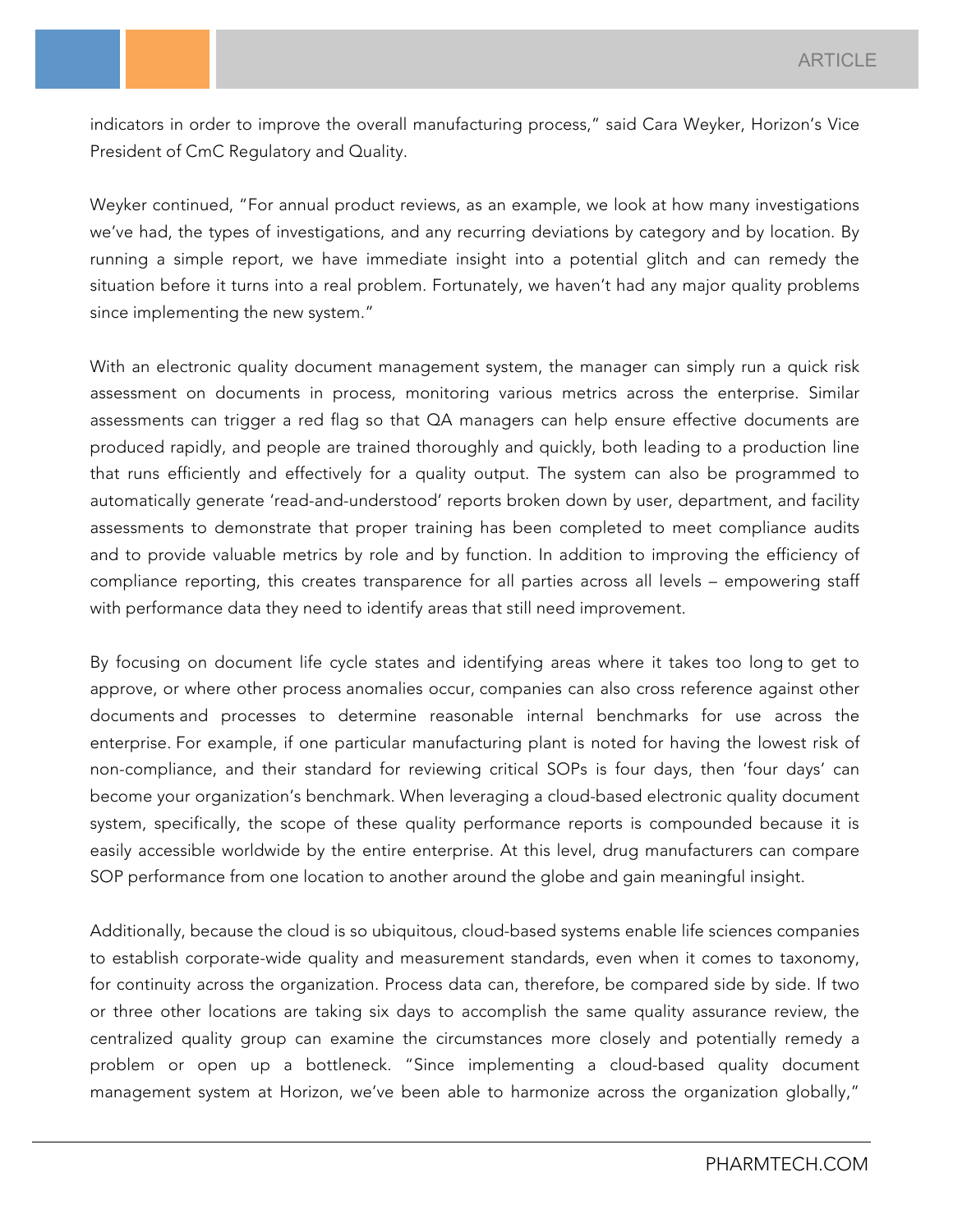indicators in order to improve the overall manufacturing process," said Cara Weyker, Horizon's Vice President of CmC Regulatory and Quality.

Weyker continued, "For annual product reviews, as an example, we look at how many investigations we've had, the types of investigations, and any recurring deviations by category and by location. By running a simple report, we have immediate insight into a potential glitch and can remedy the situation before it turns into a real problem. Fortunately, we haven't had any major quality problems since implementing the new system."

With an electronic quality document management system, the manager can simply run a quick risk assessment on documents in process, monitoring various metrics across the enterprise. Similar assessments can trigger a red flag so that QA managers can help ensure effective documents are produced rapidly, and people are trained thoroughly and quickly, both leading to a production line that runs efficiently and effectively for a quality output. The system can also be programmed to automatically generate 'read-and-understood' reports broken down by user, department, and facility assessments to demonstrate that proper training has been completed to meet compliance audits and to provide valuable metrics by role and by function. In addition to improving the efficiency of compliance reporting, this creates transparence for all parties across all levels – empowering staff with performance data they need to identify areas that still need improvement.

By focusing on document life cycle states and identifying areas where it takes too long to get to approve, or where other process anomalies occur, companies can also cross reference against other documents and processes to determine reasonable internal benchmarks for use across the enterprise. For example, if one particular manufacturing plant is noted for having the lowest risk of non-compliance, and their standard for reviewing critical SOPs is four days, then 'four days' can become your organization's benchmark. When leveraging a cloud-based electronic quality document system, specifically, the scope of these quality performance reports is compounded because it is easily accessible worldwide by the entire enterprise. At this level, drug manufacturers can compare SOP performance from one location to another around the globe and gain meaningful insight.

Additionally, because the cloud is so ubiquitous, cloud-based systems enable life sciences companies to establish corporate-wide quality and measurement standards, even when it comes to taxonomy, for continuity across the organization. Process data can, therefore, be compared side by side. If two or three other locations are taking six days to accomplish the same quality assurance review, the centralized quality group can examine the circumstances more closely and potentially remedy a problem or open up a bottleneck. "Since implementing a cloud-based quality document management system at Horizon, we've been able to harmonize across the organization globally,"